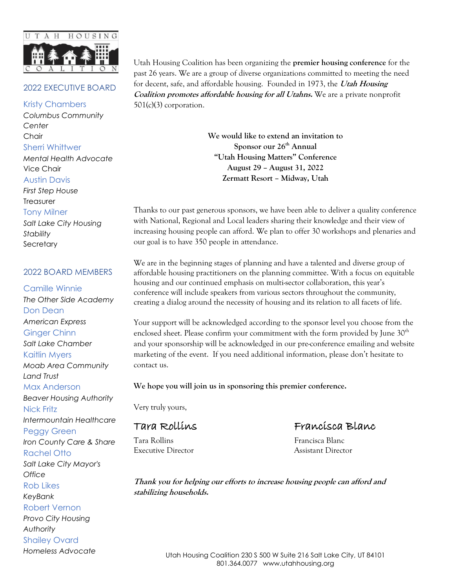

### 2022 EXECUTIVE BOARD

#### Kristy Chambers

*Columbus Community Center*  Chair Sherri Whittwer *Mental Health Advocate* Vice Chair

Austin Davis

*First Step House* **Treasurer** Tony Milner

*Salt Lake City Housing Stability*  **Secretary** 

#### 2022 BOARD MEMBERS

Camille Winnie *The Other Side Academy* Don Dean *American Express* Ginger Chinn *Salt Lake Chamber* Kaitlin Myers *Moab Area Community Land Trust* Max Anderson *Beaver Housing Authority* Nick Fritz *Intermountain Healthcare* Peggy Green *Iron County Care & Share* Rachel Otto *Salt Lake City Mayor's Office* Rob Likes *KeyBank* Robert Vernon *Provo City Housing Authority* Shailey Ovard

*Homeless Advocate*

Utah Housing Coalition has been organizing the **premier housing conference** for the past 26 years. We are a group of diverse organizations committed to meeting the need for decent, safe, and affordable housing. Founded in 1973, the **Utah Housing Coalition promotes affordable housing for all Utahns.** We are a private nonprofit  $501(c)(3)$  corporation.

> **We would like to extend an invitation to Sponsor our 26th Annual "Utah Housing Matters" Conference August 29 – August 31, 2022 Zermatt Resort – Midway, Utah**

Thanks to our past generous sponsors, we have been able to deliver a quality conference with National, Regional and Local leaders sharing their knowledge and their view of increasing housing people can afford. We plan to offer 30 workshops and plenaries and our goal is to have 350 people in attendance.

We are in the beginning stages of planning and have a talented and diverse group of affordable housing practitioners on the planning committee. With a focus on equitable housing and our continued emphasis on multi-sector collaboration, this year's conference will include speakers from various sectors throughout the community, creating a dialog around the necessity of housing and its relation to all facets of life.

Your support will be acknowledged according to the sponsor level you choose from the enclosed sheet. Please confirm your commitment with the form provided by June 30<sup>th</sup> and your sponsorship will be acknowledged in our pre-conference emailing and website marketing of the event. If you need additional information, please don't hesitate to contact us.

**We hope you will join us in sponsoring this premier conference.**

Very truly yours,

Tara Rollins **Francisca Blanc** Executive Director Assistant Director

Tara Rollins Francisca Blanc

**Thank you for helping our efforts to increase housing people can afford and stabilizing households.**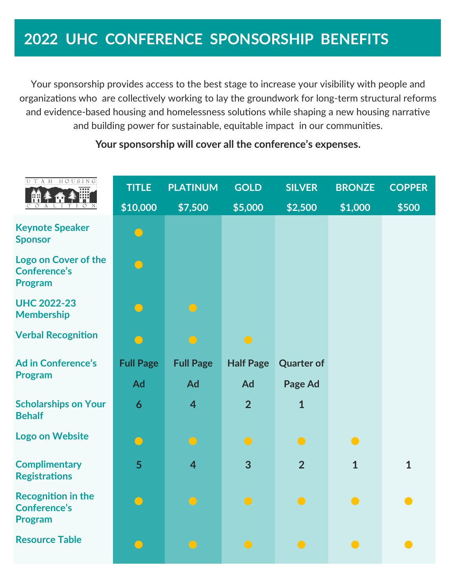# **2022 UHC CONFERENCE SPONSORSHIP BENEFITS**

Your sponsorship provides access to the best stage to increase your visibility with people and organizations who are collectively working to lay the groundwork for long-term structural reforms and evidence-based housing and homelessness solutions while shaping a new housing narrative and building power for sustainable, equitable impact in our communities.

#### UTAH HOUSING **TITLE PLATINUM GOLD SILVER BRONZE COPPER \$10,000 \$7,500 \$5,000 \$2,500 \$1,000 \$500 Keynote Speaker Sponsor** ● **Logo on Cover of the**   $\overline{\mathbf{O}}$ **Conference's Program UHC 2022-23 Membership Verbal Recognition Ad in Conference's Full Page Full Page Half Page Quarter of Program Ad Ad Ad Page Ad Scholarships on Your 6 4 2 1 Behalf Logo on Website** ● ● ● ● ● **Complimentary 5 4 3 2 1 1 Registrations Recognition in the**  ● ● ● ● ● ● **Conference's Program** Resource Table ● ● ● ● ●

# **Your sponsorship will cover all the conference's expenses.**